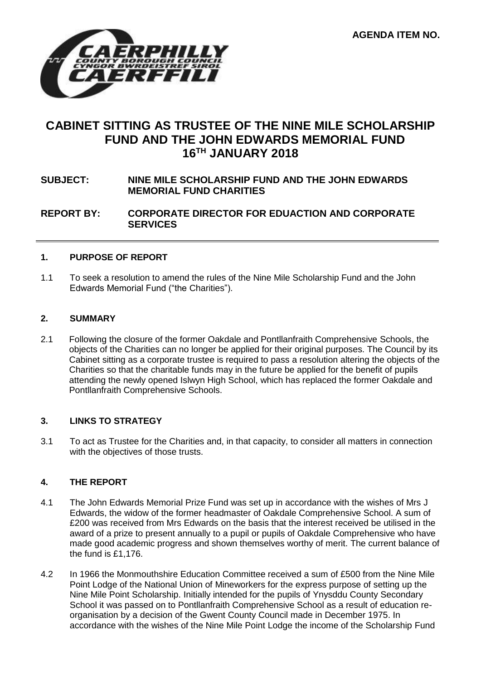**AGENDA ITEM NO.**



# **CABINET SITTING AS TRUSTEE OF THE NINE MILE SCHOLARSHIP FUND AND THE JOHN EDWARDS MEMORIAL FUND 16TH JANUARY 2018**

## **SUBJECT: NINE MILE SCHOLARSHIP FUND AND THE JOHN EDWARDS MEMORIAL FUND CHARITIES**

**REPORT BY: CORPORATE DIRECTOR FOR EDUACTION AND CORPORATE SERVICES**

#### **1. PURPOSE OF REPORT**

1.1 To seek a resolution to amend the rules of the Nine Mile Scholarship Fund and the John Edwards Memorial Fund ("the Charities").

#### **2. SUMMARY**

2.1 Following the closure of the former Oakdale and Pontllanfraith Comprehensive Schools, the objects of the Charities can no longer be applied for their original purposes. The Council by its Cabinet sitting as a corporate trustee is required to pass a resolution altering the objects of the Charities so that the charitable funds may in the future be applied for the benefit of pupils attending the newly opened Islwyn High School, which has replaced the former Oakdale and Pontllanfraith Comprehensive Schools.

#### **3. LINKS TO STRATEGY**

3.1 To act as Trustee for the Charities and, in that capacity, to consider all matters in connection with the objectives of those trusts.

#### **4. THE REPORT**

- 4.1 The John Edwards Memorial Prize Fund was set up in accordance with the wishes of Mrs J Edwards, the widow of the former headmaster of Oakdale Comprehensive School. A sum of £200 was received from Mrs Edwards on the basis that the interest received be utilised in the award of a prize to present annually to a pupil or pupils of Oakdale Comprehensive who have made good academic progress and shown themselves worthy of merit. The current balance of the fund is £1,176.
- 4.2 In 1966 the Monmouthshire Education Committee received a sum of £500 from the Nine Mile Point Lodge of the National Union of Mineworkers for the express purpose of setting up the Nine Mile Point Scholarship. Initially intended for the pupils of Ynysddu County Secondary School it was passed on to Pontllanfraith Comprehensive School as a result of education reorganisation by a decision of the Gwent County Council made in December 1975. In accordance with the wishes of the Nine Mile Point Lodge the income of the Scholarship Fund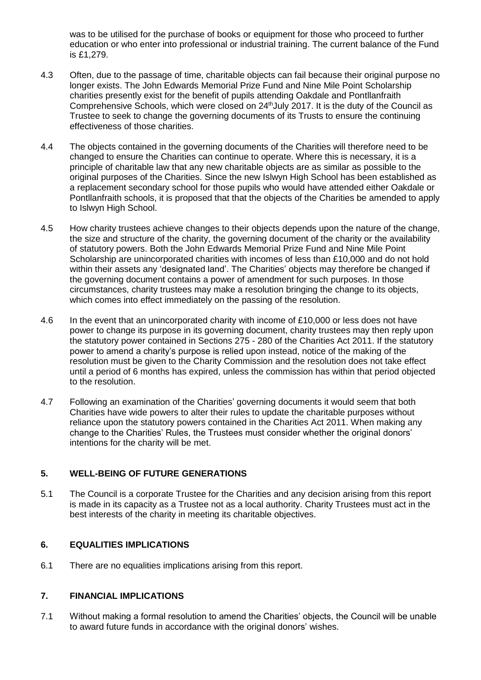was to be utilised for the purchase of books or equipment for those who proceed to further education or who enter into professional or industrial training. The current balance of the Fund is £1,279.

- 4.3 Often, due to the passage of time, charitable objects can fail because their original purpose no longer exists. The John Edwards Memorial Prize Fund and Nine Mile Point Scholarship charities presently exist for the benefit of pupils attending Oakdale and Pontllanfraith Comprehensive Schools, which were closed on 24<sup>th</sup>July 2017. It is the duty of the Council as Trustee to seek to change the governing documents of its Trusts to ensure the continuing effectiveness of those charities.
- 4.4 The objects contained in the governing documents of the Charities will therefore need to be changed to ensure the Charities can continue to operate. Where this is necessary, it is a principle of charitable law that any new charitable objects are as similar as possible to the original purposes of the Charities. Since the new Islwyn High School has been established as a replacement secondary school for those pupils who would have attended either Oakdale or Pontllanfraith schools, it is proposed that that the objects of the Charities be amended to apply to Islwyn High School.
- 4.5 How charity trustees achieve changes to their objects depends upon the nature of the change, the size and structure of the charity, the governing document of the charity or the availability of statutory powers. Both the John Edwards Memorial Prize Fund and Nine Mile Point Scholarship are unincorporated charities with incomes of less than £10,000 and do not hold within their assets any 'designated land'. The Charities' objects may therefore be changed if the governing document contains a power of amendment for such purposes. In those circumstances, charity trustees may make a resolution bringing the change to its objects, which comes into effect immediately on the passing of the resolution.
- 4.6 In the event that an unincorporated charity with income of £10,000 or less does not have power to change its purpose in its governing document, charity trustees may then reply upon the statutory power contained in Sections 275 - 280 of the Charities Act 2011. If the statutory power to amend a charity's purpose is relied upon instead, notice of the making of the resolution must be given to the Charity Commission and the resolution does not take effect until a period of 6 months has expired, unless the commission has within that period objected to the resolution.
- 4.7 Following an examination of the Charities' governing documents it would seem that both Charities have wide powers to alter their rules to update the charitable purposes without reliance upon the statutory powers contained in the Charities Act 2011. When making any change to the Charities' Rules, the Trustees must consider whether the original donors' intentions for the charity will be met.

## **5. WELL-BEING OF FUTURE GENERATIONS**

5.1 The Council is a corporate Trustee for the Charities and any decision arising from this report is made in its capacity as a Trustee not as a local authority. Charity Trustees must act in the best interests of the charity in meeting its charitable objectives.

## **6. EQUALITIES IMPLICATIONS**

6.1 There are no equalities implications arising from this report.

#### **7. FINANCIAL IMPLICATIONS**

7.1 Without making a formal resolution to amend the Charities' objects, the Council will be unable to award future funds in accordance with the original donors' wishes.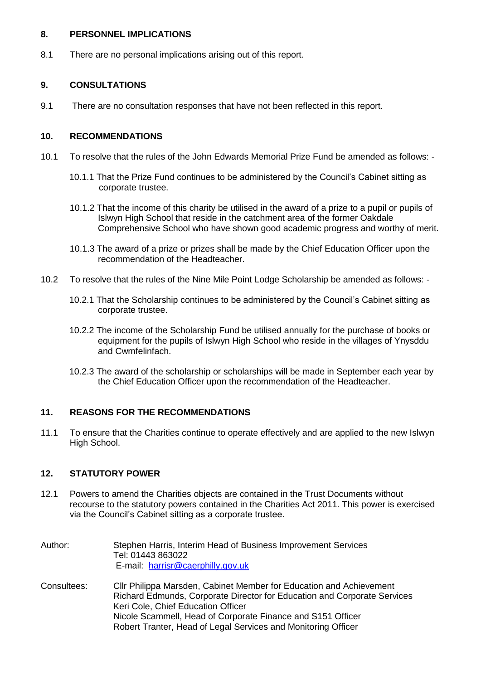#### **8. PERSONNEL IMPLICATIONS**

8.1 There are no personal implications arising out of this report.

## **9. CONSULTATIONS**

9.1 There are no consultation responses that have not been reflected in this report.

## **10. RECOMMENDATIONS**

- 10.1 To resolve that the rules of the John Edwards Memorial Prize Fund be amended as follows:
	- 10.1.1 That the Prize Fund continues to be administered by the Council's Cabinet sitting as corporate trustee.
	- 10.1.2 That the income of this charity be utilised in the award of a prize to a pupil or pupils of Islwyn High School that reside in the catchment area of the former Oakdale Comprehensive School who have shown good academic progress and worthy of merit.
	- 10.1.3 The award of a prize or prizes shall be made by the Chief Education Officer upon the recommendation of the Headteacher.
- 10.2 To resolve that the rules of the Nine Mile Point Lodge Scholarship be amended as follows:
	- 10.2.1 That the Scholarship continues to be administered by the Council's Cabinet sitting as corporate trustee.
	- 10.2.2 The income of the Scholarship Fund be utilised annually for the purchase of books or equipment for the pupils of Islwyn High School who reside in the villages of Ynysddu and Cwmfelinfach.
	- 10.2.3 The award of the scholarship or scholarships will be made in September each year by the Chief Education Officer upon the recommendation of the Headteacher.

## **11. REASONS FOR THE RECOMMENDATIONS**

11.1 To ensure that the Charities continue to operate effectively and are applied to the new Islwyn High School.

## **12. STATUTORY POWER**

- 12.1 Powers to amend the Charities objects are contained in the Trust Documents without recourse to the statutory powers contained in the Charities Act 2011. This power is exercised via the Council's Cabinet sitting as a corporate trustee.
- Author: Stephen Harris, Interim Head of Business Improvement Services Tel: 01443 863022 E-mail: [harrisr@caerphilly.gov.uk](mailto:harrisr@caerphilly.gov.uk)
- Consultees: Cllr Philippa Marsden, Cabinet Member for Education and Achievement Richard Edmunds, Corporate Director for Education and Corporate Services Keri Cole, Chief Education Officer Nicole Scammell, Head of Corporate Finance and S151 Officer Robert Tranter, Head of Legal Services and Monitoring Officer